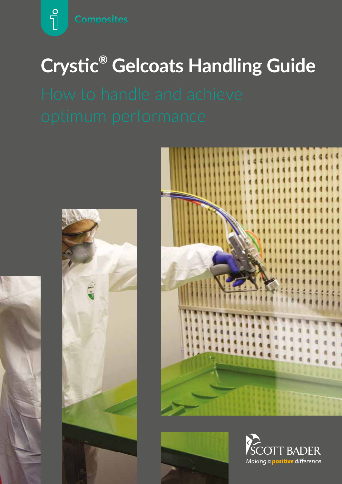$\sqrt{\frac{1}{2}}$ 

# **Crystic® Gelcoats Handling Guide**









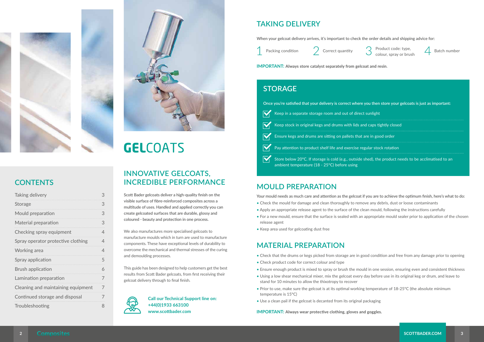



# **GELCOATS**



Packing condition  $\sum$  Correct quantity  $\sum$  Product code: type,  $\sum$  Batch number colour, spray or brush  $\sum$ 



# **CONTENTS**

| Taking delivery                    | З |
|------------------------------------|---|
| Storage                            | 3 |
| Mould preparation                  | 3 |
| Material preparation               | 3 |
| Checking spray equipment           | 4 |
| Spray operator protective clothing | 4 |
| Working area                       | 4 |
| Spray application                  | 5 |
| <b>Brush application</b>           | 6 |
| Lamination preparation             | 7 |
| Cleaning and maintaining equipment | 7 |
| Continued storage and disposal     | 7 |
| Troubleshooting                    | 8 |

**Scott Bader gelcoats deliver a high-quality finish on the visible surface of fibre-reinforced composites across a multitude of uses. Handled and applied correctly you can create gelcoated surfaces that are durable, glossy and coloured - beauty and protection in one process.**

We also manufactures more specialised gelcoats to manufacture moulds which in turn are used to manufacture components. These have exceptional levels of durability to overcome the mechanical and thermal stresses of the curing and demoulding processes.

This guide has been designed to help customers get the best results from Scott Bader gelcoats, from first receiving their gelcoat delivery through to final finish.



### **INNOVATIVE GELCOATS, INCREDIBLE PERFORMANCE**

## **TAKING DELIVERY**

#### **MOULD PREPARATION**

### **MATERIAL PREPARATION**

**When your gelcoat delivery arrives, it's important to check the order details and shipping advice for:**



- Check that the drums or kegs picked from storage are in good condition and free from any damage prior to opening
- Check product code for correct colour and type
- Ensure enough product is mixed to spray or brush the mould in one session, ensuring even and consistent thickness
- Using a low shear mechanical mixer, mix the gelcoat every day before use in its original keg or drum, and leave to stand for 10 minutes to allow the thixotropy to recover
- Prior to use, make sure the gelcoat is at its optimal working temperature of 18-25°C (the absolute minimum temperature is 15°C)
- Use a clean pail if the gelcoat is decanted from its original packaging

**IMPORTANT: Always wear protective clothing, gloves and goggles.**

**IMPORTANT: Always store catalyst separately from gelcoat and resin**.

#### **STORAGE**

| Once you're satisfied that your delivery is correct where you then store your gelcoats is just as important: |                                                                                                                                                       |
|--------------------------------------------------------------------------------------------------------------|-------------------------------------------------------------------------------------------------------------------------------------------------------|
|                                                                                                              | $\overline{V_1}$ Keep in a separate storage room and out of direct sunlight                                                                           |
|                                                                                                              | Keep stock in original kegs and drums with lids and caps tightly closed                                                                               |
|                                                                                                              | Ensure kegs and drums are sitting on pallets that are in good order                                                                                   |
|                                                                                                              | Pay attention to product shelf life and exercise regular stock rotation                                                                               |
|                                                                                                              | Store below 20°C. If storage is cold (e.g., outside shed), the product needs to be acclimatised to an<br>ambient temperature (18 - 25°C) before using |

**Call our Technical Support line on: +44(0)1933 663100 www.scottbader.com**

**Your mould needs as much care and attention as the gelcoat if you are to achieve the optimum finish, here's what to do:**

- Check the mould for damage and clean thoroughly to remove any debris, dust or loose contaminants
- Apply an appropriate release agent to the surface of the clean mould, following the instructions carefully
- For a new mould, ensure that the surface is sealed with an appropriate mould sealer prior to application of the chosen release agent
- Keep area used for gelcoating dust free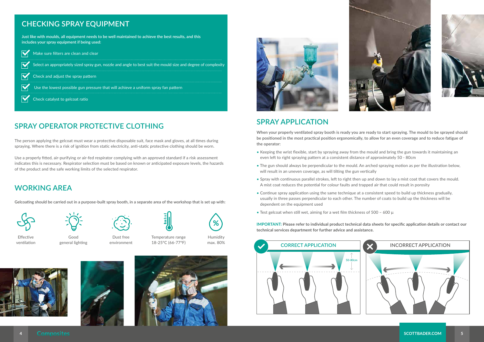## **SPRAY OPERATOR PROTECTIVE CLOTHING**







### **WORKING AREA**

The person applying the gelcoat must wear a protective disposable suit, face mask and gloves, at all times during spraying. Where there is a risk of ignition from static electricity, anti-static protective clothing should be worn.

Use a properly fitted, air-purifying or air-fed respirator complying with an approved standard if a risk assessment indicates this is necessary. Respirator selection must be based on known or anticipated exposure levels, the hazards of the product and the safe working limits of the selected respirator.

**Gelcoating should be carried out in a purpose-built spray booth, in a separate area of the workshop that is set up with:**



# **SPRAY APPLICATION**

**When your properly ventilated spray booth is ready you are ready to start spraying. The mould to be sprayed should be positioned in the most practical position ergonomically, to allow for an even coverage and to reduce fatigue of the operator:**

- Keeping the wrist flexible, start by spraying away from the mould and bring the gun towards it maintaining an even left to right spraying pattern at a consistent distance of approximately 50 - 80cm
- The gun should always be perpendicular to the mould. An arched spraying motion as per the illustration below, will result in an uneven coverage, as will tilting the gun vertically
- Spray with continuous parallel strokes, left to right then up and down to lay a mist coat that covers the mould. A mist coat reduces the potential for colour faults and trapped air that could result in porosity
- Continue spray application using the same technique at a consistent speed to build up thickness gradually, usually in three passes perpendicular to each other. The number of coats to build up the thickness will be dependent on the equipment used
- Test gelcoat when still wet, aiming for a wet film thickness of 500 600 μ

**IMPORTANT: Please refer to individual product technical data sheets for specific application details or contact our technical services department for further advice and assistance.**

Effective ventilation



Good general lighting





Temperature range 18-25°C (66-77°F)

Humidity max. 80%









### **CHECKING SPRAY EQUIPMENT**

**Just like with moulds, all equipment needs to be well maintained to achieve the best results, and this includes your spray equipment if being used:**



 $\overline{\nabla}$ 

Make sure filters are clean and clear

Select an appropriately sized spray gun, nozzle and angle to best suit the mould size and degree of complexity

Check and adjust the spray pattern

Use the lowest possible gun pressure that will achieve a uniform spray fan pattern

Check catalyst to gelcoat ratio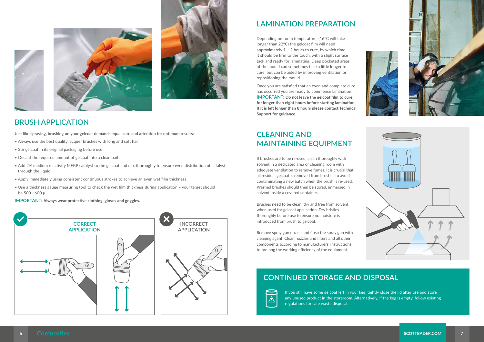





#### **LAMINATION PREPARATION**

Depending on room temperature, (16°C will take longer than 22°C) the gelcoat film will need approximately  $1 - 2$  hours to cure, by which time it should be firm to the touch, with a slight surface tack and ready for laminating. Deep pocketed areas of the mould can sometimes take a little longer to cure, but can be aided by improving ventilation or repositioning the mould.

Once you are satisfied that an even and complete cure has occurred you are ready to commence lamination **IMPORTANT: Do not leave the gelcoat film to cure for longer than eight hours before starting lamination. If it is left longer than 8 hours please contact Technical Support for guidance.**

### **CLEANING AND MAINTAINING EQUIPMENT**

#### **CONTINUED STORAGE AND DISPOSAL**



If brushes are to be re-used, clean thoroughly with solvent in a dedicated area or cleaning room with adequate ventilation to remove fumes. It is crucial that all residual gelcoat is removed from brushes to avoid contaminating a new batch when the brush is re-used. Washed brushes should then be stored, immersed in solvent inside a covered container.

Brushes need to be clean, dry and free from solvent when used for gelcoat application. Dry bristles thoroughly before use to ensure no moisture is introduced from brush to gelcoat.

Remove spray gun nozzle and flush the spray gun with cleaning agent. Clean nozzles and filters and all other components according to manufacturers' instructions to prolong the working efficiency of the equipment.

> If you still have some gelcoat left in your keg, tightly close the lid after use and store any unused product in the storeroom. Alternatively, if the keg is empty, follow existing regulations for safe waste disposal.







#### **BRUSH APPLICATION**

**Just like spraying, brushing on your gelcoat demands equal care and attention for optimum results:**

- Always use the best quality lacquer brushes with long and soft hair
- Stir gelcoat in its original packaging before use
- Decant the required amount of gelcoat into a clean pail
- Add 2% medium reactivity MEKP catalyst to the gelcoat and mix thoroughly to ensure even distribution of catalyst through the liquid
- Apply immediately using consistent continuous strokes to achieve an even wet film thickness
- Use a thickness gauge measuring tool to check the wet film thickness during application your target should be 500 - 600 μ

**IMPORTANT: Always wear protective clothing, gloves and goggles.**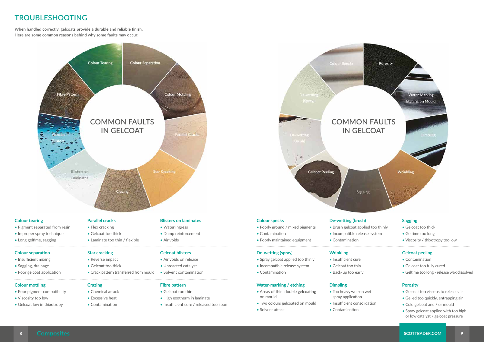- 
- **8 SCOTTBADER.COM 9**

### **TROUBLESHOOTING**

**When handled correctly, gelcoats provide a durable and reliable finish. Here are some common reasons behind why some faults may occur:**

- 
- Long geltime, sagging

- Insufficient mixing
- Sagging, drainage
- Poor gelcoat application

#### **Colour mottling**

- Poor pigment compatibility
- Viscosity too low
- Gelcoat low in thixotropy
- Gelcoat too thin
- High exotherm in laminate
- Insufficient cure / released too soon

**Crazing**

• Chemical attack • Excessive heat • Contamination



#### **Fibre pattern**

- 
- Two colours gelcoated on mould
- Solvent attack